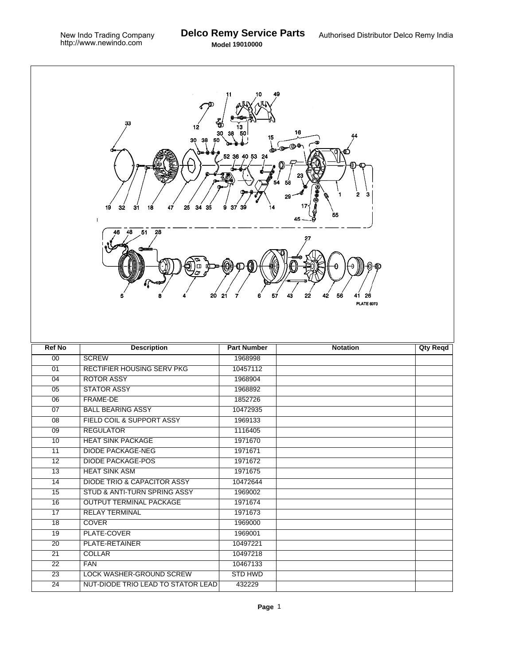٦

| 33<br>₩<br>12<br>16<br>15<br>30<br>38<br>50<br>$\bigoplus_{i=1}^n \bigoplus_{i=1}^n \bigoplus_{i=1}^n \bigoplus_{i=1}^n \bigoplus_{i=1}^n \bigoplus_{i=1}^n \bigoplus_{i=1}^n \bigoplus_{i=1}^n \bigoplus_{i=1}^n \bigoplus_{i=1}^n \bigoplus_{i=1}^n \bigoplus_{i=1}^n \bigoplus_{i=1}^n \bigoplus_{i=1}^n \bigoplus_{i=1}^n \bigoplus_{i=1}^n \bigoplus_{i=1}^n \bigoplus_{i=1}^n \bigoplus_{i=1}^n \bigoplus_{i=1}^n$<br>52 36 40 53 24<br>з<br>2<br>29<br>32<br>31<br>25<br>34<br>19<br>18<br>47<br>35<br>37<br>14<br>9<br>39<br>55<br>1<br>28<br>48<br>51<br>J)<br>θ<br>Φ<br>6<br>57<br>43<br>20<br>21<br>22<br>42<br>56<br>7<br>26<br><b>PLATE 6073</b> |                                        |                    |                 |                 |  |  |  |
|---------------------------------------------------------------------------------------------------------------------------------------------------------------------------------------------------------------------------------------------------------------------------------------------------------------------------------------------------------------------------------------------------------------------------------------------------------------------------------------------------------------------------------------------------------------------------------------------------------------------------------------------------------------|----------------------------------------|--------------------|-----------------|-----------------|--|--|--|
|                                                                                                                                                                                                                                                                                                                                                                                                                                                                                                                                                                                                                                                               |                                        |                    |                 |                 |  |  |  |
| <b>Ref No</b>                                                                                                                                                                                                                                                                                                                                                                                                                                                                                                                                                                                                                                                 |                                        | <b>Part Number</b> | <b>Notation</b> |                 |  |  |  |
| 00                                                                                                                                                                                                                                                                                                                                                                                                                                                                                                                                                                                                                                                            | <b>Description</b><br><b>SCREW</b>     | 1968998            |                 | <b>Qty Reqd</b> |  |  |  |
| 01                                                                                                                                                                                                                                                                                                                                                                                                                                                                                                                                                                                                                                                            | <b>RECTIFIER HOUSING SERV PKG</b>      | 10457112           |                 |                 |  |  |  |
| 04                                                                                                                                                                                                                                                                                                                                                                                                                                                                                                                                                                                                                                                            | <b>ROTOR ASSY</b>                      | 1968904            |                 |                 |  |  |  |
| $\overline{05}$                                                                                                                                                                                                                                                                                                                                                                                                                                                                                                                                                                                                                                               | <b>STATOR ASSY</b>                     | 1968892            |                 |                 |  |  |  |
| 06                                                                                                                                                                                                                                                                                                                                                                                                                                                                                                                                                                                                                                                            | FRAME-DE                               | 1852726            |                 |                 |  |  |  |
| $\overline{07}$                                                                                                                                                                                                                                                                                                                                                                                                                                                                                                                                                                                                                                               | <b>BALL BEARING ASSY</b>               | 10472935           |                 |                 |  |  |  |
| $\overline{08}$                                                                                                                                                                                                                                                                                                                                                                                                                                                                                                                                                                                                                                               | FIELD COIL & SUPPORT ASSY              | 1969133            |                 |                 |  |  |  |
| 09                                                                                                                                                                                                                                                                                                                                                                                                                                                                                                                                                                                                                                                            | <b>REGULATOR</b>                       | 1116405            |                 |                 |  |  |  |
| 10                                                                                                                                                                                                                                                                                                                                                                                                                                                                                                                                                                                                                                                            | <b>HEAT SINK PACKAGE</b>               | 1971670            |                 |                 |  |  |  |
| 11                                                                                                                                                                                                                                                                                                                                                                                                                                                                                                                                                                                                                                                            | <b>DIODE PACKAGE-NEG</b>               | 1971671            |                 |                 |  |  |  |
| 12                                                                                                                                                                                                                                                                                                                                                                                                                                                                                                                                                                                                                                                            | <b>DIODE PACKAGE-POS</b>               | 1971672            |                 |                 |  |  |  |
| 13                                                                                                                                                                                                                                                                                                                                                                                                                                                                                                                                                                                                                                                            | <b>HEAT SINK ASM</b>                   | 1971675            |                 |                 |  |  |  |
| 14                                                                                                                                                                                                                                                                                                                                                                                                                                                                                                                                                                                                                                                            | <b>DIODE TRIO &amp; CAPACITOR ASSY</b> | 10472644           |                 |                 |  |  |  |
| 15                                                                                                                                                                                                                                                                                                                                                                                                                                                                                                                                                                                                                                                            | STUD & ANTI-TURN SPRING ASSY           | 1969002            |                 |                 |  |  |  |
| 16                                                                                                                                                                                                                                                                                                                                                                                                                                                                                                                                                                                                                                                            | <b>OUTPUT TERMINAL PACKAGE</b>         | 1971674            |                 |                 |  |  |  |
| 17                                                                                                                                                                                                                                                                                                                                                                                                                                                                                                                                                                                                                                                            | <b>RELAY TERMINAL</b>                  | 1971673            |                 |                 |  |  |  |
| 18                                                                                                                                                                                                                                                                                                                                                                                                                                                                                                                                                                                                                                                            | <b>COVER</b>                           | 1969000            |                 |                 |  |  |  |
| 19                                                                                                                                                                                                                                                                                                                                                                                                                                                                                                                                                                                                                                                            | PLATE-COVER                            | 1969001            |                 |                 |  |  |  |
| 20                                                                                                                                                                                                                                                                                                                                                                                                                                                                                                                                                                                                                                                            | <b>PLATE-RETAINER</b>                  | 10497221           |                 |                 |  |  |  |
| 21                                                                                                                                                                                                                                                                                                                                                                                                                                                                                                                                                                                                                                                            | <b>COLLAR</b>                          | 10497218           |                 |                 |  |  |  |
| $\overline{22}$                                                                                                                                                                                                                                                                                                                                                                                                                                                                                                                                                                                                                                               | <b>FAN</b>                             | 10467133           |                 |                 |  |  |  |
| 23                                                                                                                                                                                                                                                                                                                                                                                                                                                                                                                                                                                                                                                            | LOCK WASHER-GROUND SCREW               | <b>STD HWD</b>     |                 |                 |  |  |  |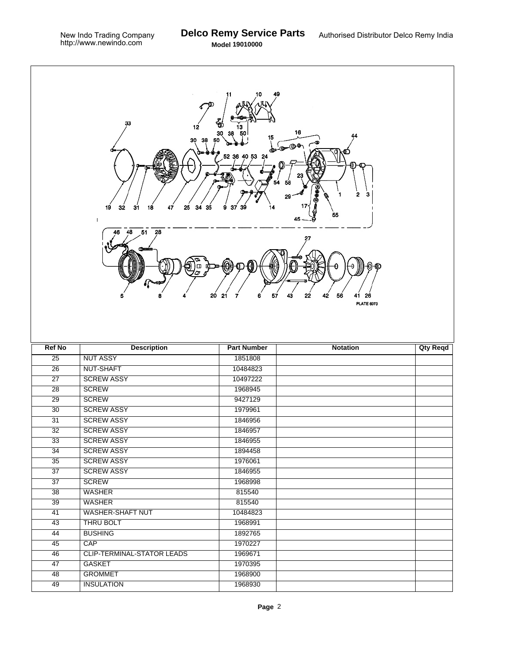| 33<br>ΨÓ<br>12<br>16<br>30<br>15<br>30<br>38<br>50<br>$\mathbf{a}^{\mathbf{b}}$ and $\mathbf{a}$<br>52 36 40 53 24<br>54<br>2<br>з<br>1<br>29<br>32<br>31<br>25<br>34<br>35<br>19<br>18<br>47<br>37<br>14<br>я<br>55<br>48<br>51<br>28<br>46<br>θ<br>◫<br>20<br>57<br>43<br>22<br>21<br>7<br>42<br>56<br>6<br>26<br>41<br><b>PLATE 6073</b> |                                   |                    |                 |                 |  |  |
|---------------------------------------------------------------------------------------------------------------------------------------------------------------------------------------------------------------------------------------------------------------------------------------------------------------------------------------------|-----------------------------------|--------------------|-----------------|-----------------|--|--|
| <b>Ref No</b>                                                                                                                                                                                                                                                                                                                               | <b>Description</b>                | <b>Part Number</b> | <b>Notation</b> | <b>Qty Reqd</b> |  |  |
| $\overline{25}$                                                                                                                                                                                                                                                                                                                             | <b>NUT ASSY</b>                   | 1851808            |                 |                 |  |  |
| $\overline{26}$                                                                                                                                                                                                                                                                                                                             | NUT-SHAFT                         | 10484823           |                 |                 |  |  |
| $\overline{27}$                                                                                                                                                                                                                                                                                                                             | <b>SCREW ASSY</b>                 | 10497222           |                 |                 |  |  |
| 28                                                                                                                                                                                                                                                                                                                                          | <b>SCREW</b>                      | 1968945            |                 |                 |  |  |
| 29                                                                                                                                                                                                                                                                                                                                          | <b>SCREW</b>                      | 9427129            |                 |                 |  |  |
| $\overline{30}$                                                                                                                                                                                                                                                                                                                             | <b>SCREW ASSY</b>                 | 1979961            |                 |                 |  |  |
| $\overline{31}$                                                                                                                                                                                                                                                                                                                             | <b>SCREW ASSY</b>                 | 1846956            |                 |                 |  |  |
| 32                                                                                                                                                                                                                                                                                                                                          | <b>SCREW ASSY</b>                 | 1846957            |                 |                 |  |  |
| 33                                                                                                                                                                                                                                                                                                                                          | <b>SCREW ASSY</b>                 | 1846955            |                 |                 |  |  |
| 34                                                                                                                                                                                                                                                                                                                                          | <b>SCREW ASSY</b>                 | 1894458            |                 |                 |  |  |
| 35                                                                                                                                                                                                                                                                                                                                          | <b>SCREW ASSY</b>                 | 1976061            |                 |                 |  |  |
| $\overline{37}$                                                                                                                                                                                                                                                                                                                             | <b>SCREW ASSY</b>                 | 1846955            |                 |                 |  |  |
| $\overline{37}$                                                                                                                                                                                                                                                                                                                             | <b>SCREW</b>                      | 1968998            |                 |                 |  |  |
| $\overline{38}$                                                                                                                                                                                                                                                                                                                             | <b>WASHER</b>                     | 815540             |                 |                 |  |  |
| $\overline{39}$                                                                                                                                                                                                                                                                                                                             | <b>WASHER</b>                     | 815540             |                 |                 |  |  |
| 41                                                                                                                                                                                                                                                                                                                                          | WASHER-SHAFT NUT                  | 10484823           |                 |                 |  |  |
| 43                                                                                                                                                                                                                                                                                                                                          | <b>THRU BOLT</b>                  | 1968991            |                 |                 |  |  |
| 44                                                                                                                                                                                                                                                                                                                                          | <b>BUSHING</b>                    | 1892765            |                 |                 |  |  |
| 45                                                                                                                                                                                                                                                                                                                                          | CAP                               | 1970227            |                 |                 |  |  |
| $\overline{46}$                                                                                                                                                                                                                                                                                                                             | <b>CLIP-TERMINAL-STATOR LEADS</b> | 1969671            |                 |                 |  |  |
| 47                                                                                                                                                                                                                                                                                                                                          | <b>GASKET</b>                     | 1970395            |                 |                 |  |  |
|                                                                                                                                                                                                                                                                                                                                             |                                   |                    |                 |                 |  |  |
| 48                                                                                                                                                                                                                                                                                                                                          | <b>GROMMET</b>                    | 1968900            |                 |                 |  |  |